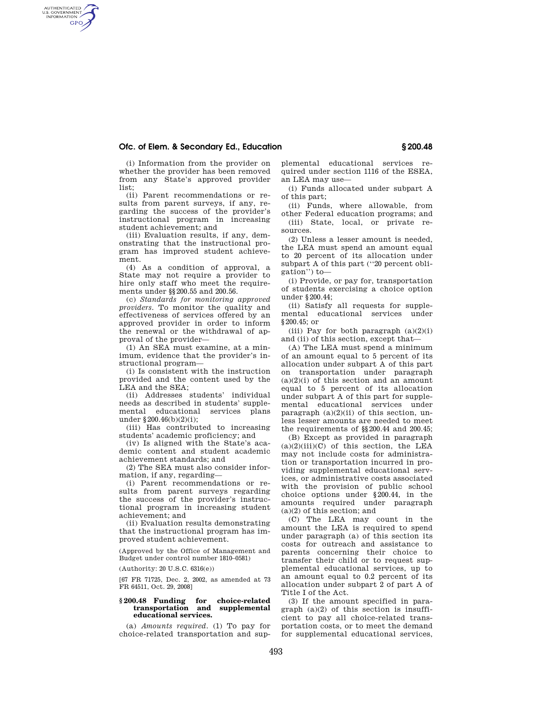## **Ofc. of Elem. & Secondary Ed., Education § 200.48**

AUTHENTICATED<br>U.S. GOVERNMENT<br>INFORMATION **GPO** 

(i) Information from the provider on whether the provider has been removed from any State's approved provider list;

(ii) Parent recommendations or results from parent surveys, if any, regarding the success of the provider's instructional program in increasing student achievement; and

(iii) Evaluation results, if any, demonstrating that the instructional program has improved student achievement.

(4) As a condition of approval, a State may not require a provider to hire only staff who meet the requirements under §§200.55 and 200.56.

(c) *Standards for monitoring approved providers.* To monitor the quality and effectiveness of services offered by an approved provider in order to inform the renewal or the withdrawal of approval of the provider—

(1) An SEA must examine, at a minimum, evidence that the provider's instructional program—

(i) Is consistent with the instruction provided and the content used by the LEA and the SEA;

(ii) Addresses students' individual needs as described in students' supplemental educational services plans under §200.46(b)(2)(i);

(iii) Has contributed to increasing students' academic proficiency; and

(iv) Is aligned with the State's academic content and student academic achievement standards; and

(2) The SEA must also consider information, if any, regarding—

(i) Parent recommendations or results from parent surveys regarding the success of the provider's instructional program in increasing student achievement; and

(ii) Evaluation results demonstrating that the instructional program has improved student achievement.

(Approved by the Office of Management and Budget under control number 1810–0581)

(Authority: 20 U.S.C. 6316(e))

[67 FR 71725, Dec. 2, 2002, as amended at 73 FR 64511, Oct. 29, 2008]

## **§ 200.48 Funding for choice-related transportation and supplemental educational services.**

(a) *Amounts required.* (1) To pay for choice-related transportation and sup-

plemental educational services required under section 1116 of the ESEA, an LEA may use—

(i) Funds allocated under subpart A of this part;

(ii) Funds, where allowable, from other Federal education programs; and

(iii) State, local, or private resources.

(2) Unless a lesser amount is needed, the LEA must spend an amount equal to 20 percent of its allocation under subpart A of this part (''20 percent obligation'') to—

(i) Provide, or pay for, transportation of students exercising a choice option under §200.44;

(ii) Satisfy all requests for supplemental educational services under §200.45; or

(iii) Pay for both paragraph  $(a)(2)(i)$ and (ii) of this section, except that—

(A) The LEA must spend a minimum of an amount equal to 5 percent of its allocation under subpart A of this part on transportation under paragraph  $(a)(2)(i)$  of this section and an amount equal to 5 percent of its allocation under subpart A of this part for supplemental educational services under paragraph  $(a)(2)(ii)$  of this section, unless lesser amounts are needed to meet the requirements of §§200.44 and 200.45;

(B) Except as provided in paragraph  $(a)(2)(iii)(C)$  of this section, the LEA may not include costs for administration or transportation incurred in providing supplemental educational services, or administrative costs associated with the provision of public school choice options under §200.44, in the amounts required under paragraph (a)(2) of this section; and

(C) The LEA may count in the amount the LEA is required to spend under paragraph (a) of this section its costs for outreach and assistance to parents concerning their choice to transfer their child or to request supplemental educational services, up to an amount equal to 0.2 percent of its allocation under subpart 2 of part A of Title I of the Act.

(3) If the amount specified in paragraph (a)(2) of this section is insufficient to pay all choice-related transportation costs, or to meet the demand for supplemental educational services,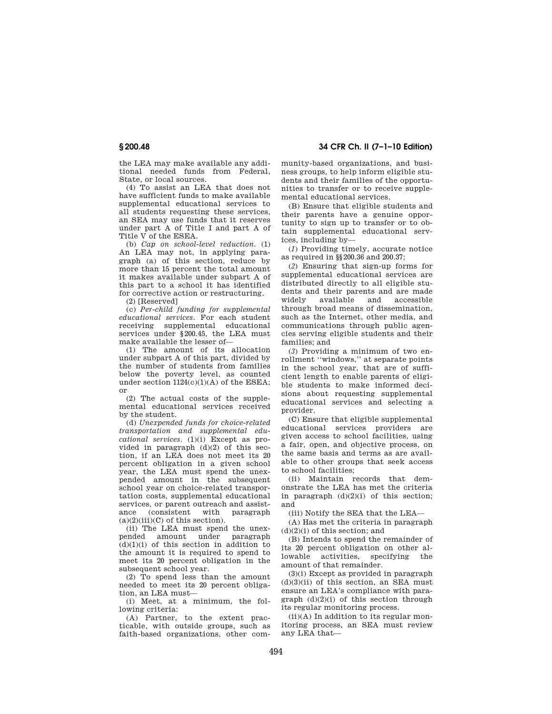the LEA may make available any additional needed funds from Federal, State, or local sources.

(4) To assist an LEA that does not have sufficient funds to make available supplemental educational services to all students requesting these services, an SEA may use funds that it reserves under part A of Title I and part A of Title V of the ESEA.

(b) *Cap on school-level reduction.* (1) An LEA may not, in applying paragraph (a) of this section, reduce by more than 15 percent the total amount it makes available under subpart A of this part to a school it has identified for corrective action or restructuring.

(2) [Reserved]

(c) *Per-child funding for supplemental educational services.* For each student receiving supplemental services under §200.45, the LEA must make available the lesser of—

(1) The amount of its allocation under subpart A of this part, divided by the number of students from families below the poverty level, as counted under section 1124(c)(1)(A) of the ESEA; or

(2) The actual costs of the supplemental educational services received by the student.

(d) *Unexpended funds for choice-related transportation and supplemental educational services*. (1)(i) Except as provided in paragraph (d)(2) of this section, if an LEA does not meet its 20 percent obligation in a given school year, the LEA must spend the unexpended amount in the subsequent school year on choice-related transportation costs, supplemental educational services, or parent outreach and assistance (consistent with paragraph  $(a)(2)(iii)(C)$  of this section).

(ii) The LEA must spend the unexpended amount under paragraph  $(d)(1)(i)$  of this section in addition to the amount it is required to spend to meet its 20 percent obligation in the subsequent school year.

(2) To spend less than the amount needed to meet its 20 percent obligation, an LEA must—

(i) Meet, at a minimum, the following criteria:

(A) Partner, to the extent practicable, with outside groups, such as faith-based organizations, other com-

**§ 200.48 34 CFR Ch. II (7–1–10 Edition)** 

munity-based organizations, and business groups, to help inform eligible students and their families of the opportunities to transfer or to receive supplemental educational services.

(B) Ensure that eligible students and their parents have a genuine opportunity to sign up to transfer or to obtain supplemental educational services, including by—

(*1*) Providing timely, accurate notice as required in §§200.36 and 200.37;

(*2*) Ensuring that sign-up forms for supplemental educational services are distributed directly to all eligible students and their parents and are made widely available and accessible through broad means of dissemination, such as the Internet, other media, and communications through public agencies serving eligible students and their families; and

(*3*) Providing a minimum of two enrollment ''windows,'' at separate points in the school year, that are of sufficient length to enable parents of eligible students to make informed decisions about requesting supplemental educational services and selecting a provider.

(C) Ensure that eligible supplemental educational services providers are given access to school facilities, using a fair, open, and objective process, on the same basis and terms as are available to other groups that seek access to school facilities;

(ii) Maintain records that demonstrate the LEA has met the criteria in paragraph  $(d)(2)(i)$  of this section; and

(iii) Notify the SEA that the LEA—

(A) Has met the criteria in paragraph  $(d)(2)(i)$  of this section; and

(B) Intends to spend the remainder of its 20 percent obligation on other allowable activities, specifying the amount of that remainder.

(3)(i) Except as provided in paragraph  $(d)(3)(ii)$  of this section, an SEA must ensure an LEA's compliance with paragraph  $(d)(2)(i)$  of this section through its regular monitoring process.

 $(ii)(A)$  In addition to its regular monitoring process, an SEA must review any LEA that—